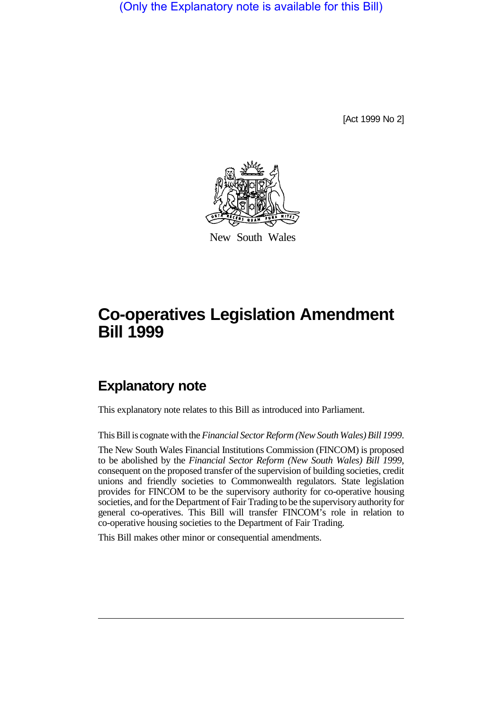(Only the Explanatory note is available for this Bill)

[Act 1999 No 2]



New South Wales

# **Co-operatives Legislation Amendment Bill 1999**

## **Explanatory note**

This explanatory note relates to this Bill as introduced into Parliament.

This Bill is cognate with the *Financial Sector Reform (New South Wales) Bill 1999*.

The New South Wales Financial Institutions Commission (FINCOM) is proposed to be abolished by the *Financial Sector Reform (New South Wales) Bill 1999*, consequent on the proposed transfer of the supervision of building societies, credit unions and friendly societies to Commonwealth regulators. State legislation provides for FINCOM to be the supervisory authority for co-operative housing societies, and for the Department of Fair Trading to be the supervisory authority for general co-operatives. This Bill will transfer FINCOM's role in relation to co-operative housing societies to the Department of Fair Trading.

This Bill makes other minor or consequential amendments.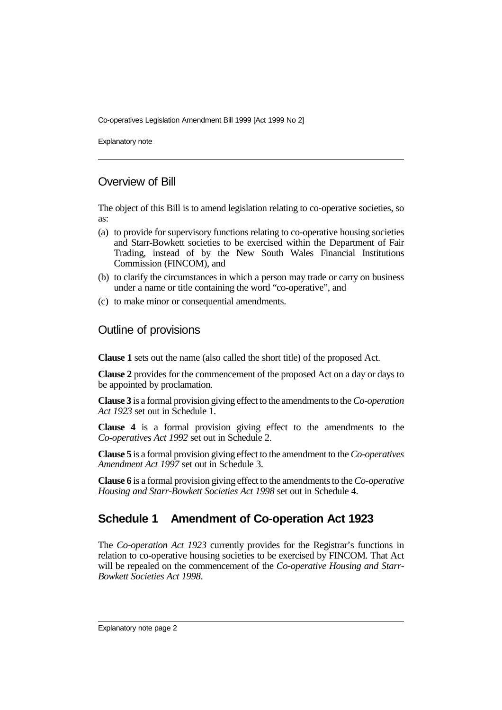Explanatory note

## Overview of Bill

The object of this Bill is to amend legislation relating to co-operative societies, so as:

- (a) to provide for supervisory functions relating to co-operative housing societies and Starr-Bowkett societies to be exercised within the Department of Fair Trading, instead of by the New South Wales Financial Institutions Commission (FINCOM), and
- (b) to clarify the circumstances in which a person may trade or carry on business under a name or title containing the word "co-operative", and
- (c) to make minor or consequential amendments.

#### Outline of provisions

**Clause 1** sets out the name (also called the short title) of the proposed Act.

**Clause 2** provides for the commencement of the proposed Act on a day or days to be appointed by proclamation.

**Clause 3** is a formal provision giving effect to the amendments to the *Co-operation Act 1923* set out in Schedule 1.

**Clause 4** is a formal provision giving effect to the amendments to the *Co-operatives Act 1992* set out in Schedule 2.

**Clause 5** is a formal provision giving effect to the amendment to the *Co-operatives Amendment Act 1997* set out in Schedule 3.

**Clause 6** is a formal provision giving effect to the amendments to the *Co-operative Housing and Starr-Bowkett Societies Act 1998* set out in Schedule 4.

## **Schedule 1 Amendment of Co-operation Act 1923**

The *Co-operation Act 1923* currently provides for the Registrar's functions in relation to co-operative housing societies to be exercised by FINCOM. That Act will be repealed on the commencement of the *Co-operative Housing and Starr-Bowkett Societies Act 1998*.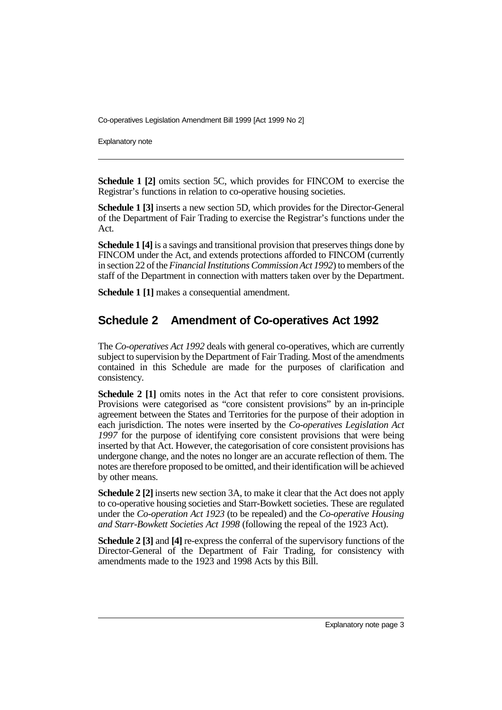Explanatory note

**Schedule 1 [2]** omits section 5C, which provides for FINCOM to exercise the Registrar's functions in relation to co-operative housing societies.

**Schedule 1 [3]** inserts a new section 5D, which provides for the Director-General of the Department of Fair Trading to exercise the Registrar's functions under the Act.

**Schedule 1 [4]** is a savings and transitional provision that preserves things done by FINCOM under the Act, and extends protections afforded to FINCOM (currently in section 22 of the *Financial Institutions Commission Act 1992*) to members of the staff of the Department in connection with matters taken over by the Department.

**Schedule 1 [1]** makes a consequential amendment.

## **Schedule 2 Amendment of Co-operatives Act 1992**

The *Co-operatives Act 1992* deals with general co-operatives, which are currently subject to supervision by the Department of Fair Trading. Most of the amendments contained in this Schedule are made for the purposes of clarification and consistency.

**Schedule 2 [1]** omits notes in the Act that refer to core consistent provisions. Provisions were categorised as "core consistent provisions" by an in-principle agreement between the States and Territories for the purpose of their adoption in each jurisdiction. The notes were inserted by the *Co-operatives Legislation Act 1997* for the purpose of identifying core consistent provisions that were being inserted by that Act. However, the categorisation of core consistent provisions has undergone change, and the notes no longer are an accurate reflection of them. The notes are therefore proposed to be omitted, and their identification will be achieved by other means.

**Schedule 2 [2]** inserts new section 3A, to make it clear that the Act does not apply to co-operative housing societies and Starr-Bowkett societies. These are regulated under the *Co-operation Act 1923* (to be repealed) and the *Co-operative Housing and Starr-Bowkett Societies Act 1998* (following the repeal of the 1923 Act).

**Schedule 2 [3] and [4] re-express the conferral of the supervisory functions of the** Director-General of the Department of Fair Trading, for consistency with amendments made to the 1923 and 1998 Acts by this Bill.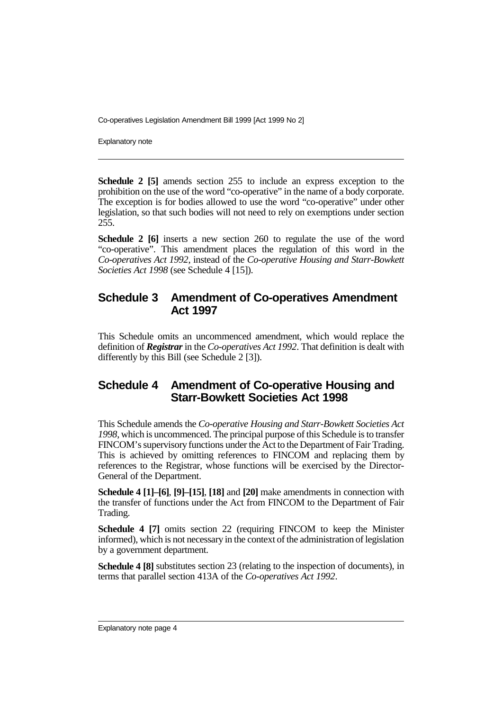Explanatory note

**Schedule 2 [5]** amends section 255 to include an express exception to the prohibition on the use of the word "co-operative" in the name of a body corporate. The exception is for bodies allowed to use the word "co-operative" under other legislation, so that such bodies will not need to rely on exemptions under section 255.

**Schedule 2 [6]** inserts a new section 260 to regulate the use of the word "co-operative". This amendment places the regulation of this word in the *Co-operatives Act 1992*, instead of the *Co-operative Housing and Starr-Bowkett Societies Act 1998* (see Schedule 4 [15]).

#### **Schedule 3 Amendment of Co-operatives Amendment Act 1997**

This Schedule omits an uncommenced amendment, which would replace the definition of *Registrar* in the *Co-operatives Act 1992*. That definition is dealt with differently by this Bill (see Schedule 2 [3]).

#### **Schedule 4 Amendment of Co-operative Housing and Starr-Bowkett Societies Act 1998**

This Schedule amends the *Co-operative Housing and Starr-Bowkett Societies Act 1998*, which is uncommenced. The principal purpose of this Schedule is to transfer FINCOM's supervisory functions under the Act to the Department of Fair Trading. This is achieved by omitting references to FINCOM and replacing them by references to the Registrar, whose functions will be exercised by the Director-General of the Department.

**Schedule 4 [1]–[6]**, **[9]–[15]**, **[18]** and **[20]** make amendments in connection with the transfer of functions under the Act from FINCOM to the Department of Fair Trading.

**Schedule 4 [7]** omits section 22 (requiring FINCOM to keep the Minister informed), which is not necessary in the context of the administration of legislation by a government department.

**Schedule 4 [8]** substitutes section 23 (relating to the inspection of documents), in terms that parallel section 413A of the *Co-operatives Act 1992*.